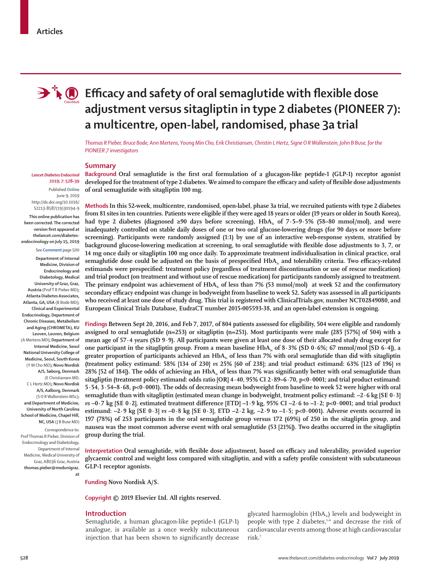

# **Efficacy and safety of oral semaglutide with flexible dose adjustment versus sitagliptin in type 2 diabetes (PIONEER 7): a multicentre, open-label, randomised, phase 3a trial**

*Thomas R Pieber, Bruce Bode, Ann Mertens, Young Min Cho, Erik Christiansen, Christin L Hertz, Signe O R Wallenstein, John B Buse, for the PIONEER 7 investigators*

# **Summary**

**Background Oral semaglutide is the first oral formulation of a glucagon-like peptide-1 (GLP-1) receptor agonist developed for the treatment of type 2 diabetes. We aimed to compare the efficacy and safety of flexible dose adjustments of oral semaglutide with sitagliptin 100 mg.**

**Methods In this 52-week, multicentre, randomised, open-label, phase 3a trial, we recruited patients with type 2 diabetes from 81 sites in ten countries. Patients were eligible if they were aged 18 years or older (19 years or older in South Korea),**  had type 2 diabetes (diagnosed  $\geq 90$  days before screening), HbA<sub>1c</sub> of 7·5–9·5% (58–80 mmol/mol), and were **inadequately controlled on stable daily doses of one or two oral glucose-lowering drugs (for 90 days or more before screening). Participants were randomly assigned (1:1) by use of an interactive web-response system, stratified by background glucose-lowering medication at screening, to oral semaglutide with flexible dose adjustments to 3, 7, or 14 mg once daily or sitagliptin 100 mg once daily. To approximate treatment individualisation in clinical practice, oral**  semaglutide dose could be adjusted on the basis of prespecified HbA<sub>1c</sub> and tolerability criteria. Two efficacy-related **estimands were prespecified: treatment policy (regardless of treatment discontinuation or use of rescue medication) and trial product (on treatment and without use of rescue medication) for participants randomly assigned to treatment.**  The primary endpoint was achievement of HbA<sub>1c</sub> of less than 7% (53 mmol/mol) at week 52 and the confirmatory **secondary efficacy endpoint was change in bodyweight from baseline to week 52. Safety was assessed in all participants who received at least one dose of study drug. This trial is registered with ClinicalTrials.gov, number NCT02849080, and European Clinical Trials Database, EudraCT number 2015-005593-38, and an open-label extension is ongoing.**

**Findings Between Sept 20, 2016, and Feb 7, 2017, of 804 patients assessed for eligibility, 504 were eligible and randomly assigned to oral semaglutide (n=253) or sitagliptin (n=251). Most participants were male (285 [57%] of 504) with a mean age of 57·4 years (SD 9·9). All participants were given at least one dose of their allocated study drug except for**  one participant in the sitagliptin group. From a mean baseline  $HbA<sub>i</sub>$  of  $8.3\%$  (SD  $0.6\%$ ; 67 mmol/mol [SD 6.4]), a greater proportion of participants achieved an HbA<sub>1c</sub> of less than 7% with oral semaglutide than did with sitagliptin **(treatment policy estimand: 58% [134 of 230]** *vs* **25% [60 of 238]; and trial product estimand: 63% [123 of 196]** *vs* **28% [52 of 184]). The odds of achieving an HbA<sub>1c</sub> of less than 7% was significantly better with oral semaglutide than sitagliptin (treatment policy estimand: odds ratio [OR] 4·40, 95% CI 2·89–6·70, p<0·0001; and trial product estimand: 5·54, 3·54–8·68, p<0·0001). The odds of decreasing mean bodyweight from baseline to week 52 were higher with oral semaglutide than with sitagliptin (estimated mean change in bodyweight, treatment policy estimand: –2·6 kg [SE 0·3]**  *vs* **–0·7 kg [SE 0·2], estimated treatment difference [ETD] –1·9 kg, 95% CI –2·6 to –1·2; p<0·0001; and trial product estimand:**  $-2.9$  kg [SE  $0.3$ ]  $v_s -0.8$  kg [SE  $0.3$ ], ETD  $-2.2$  kg,  $-2.9$  to  $-1.5$ ; p<0.0001). Adverse events occurred in **197 (78%) of 253 participants in the oral semaglutide group versus 172 (69%) of 250 in the sitagliptin group, and nausea was the most common adverse event with oral semaglutide (53 [21%]). Two deaths occurred in the sitagliptin group during the trial.**

**Interpretation Oral semaglutide, with flexible dose adjustment, based on efficacy and tolerability, provided superior glycaemic control and weight loss compared with sitagliptin, and with a safety profile consistent with subcutaneous GLP-1 receptor agonists.**

**Funding Novo Nordisk A/S.**

**Copyright © 2019 Elsevier Ltd. All rights reserved.**

## **Introduction**

Semaglutide, a human glucagon-like peptide-1 (GLP-1) analogue, is available as a once weekly subcutaneous injection that has been shown to significantly decrease

glycated haemoglobin ( $HbA_{1c}$ ) levels and bodyweight in people with type 2 diabetes, $1-6$  and decrease the risk of cardiovascular events among those at high cardiovascular risk.7

## *Lancet Diabetes Endocrinol* **2019; 7: 528–39**

Published **Online** June 9, 2019 http://dx.doi.org/10.1016/ S2213-8587(19)30194-9 **This online publication has been corrected. The corrected version first appeared at thelancet.com/diabetesendocrinology on July 15, 2019**

See **Comment** page 500

**Department of Internal Medicine, Division of Endocrinology and Diabetology, Medical University of Graz, Graz, Austria** (Prof T R Pieber MD)**; Atlanta Diabetes Associates, Atlanta, GA, USA** (B Bode MD)**; Clinical and Experimental Endocrinology, Department of Chronic Diseases, Metabolism and Aging (CHROMETA), KU Leuven, Leuven, Belgium**  (A Mertens MD)**; Department of Internal Medicine, Seoul National University College of Medicine, Seoul, South Korea** (Y M Cho MD)**; Novo Nordisk A/S, Søborg, Denmark** (E Christiansen MD,

C L Hertz MD)**; Novo Nordisk A/S, Aalborg, Denmark** (S O R Wallenstein MSc)**; and Department of Medicine, University of North Carolina School of Medicine, Chapel Hill, NC, USA** (J B Buse MD)

Correspondence to: Prof Thomas R Pieber, Division of Endocrinology and Diabetology, Department of Internal Medicine, Medical University of Graz, A8036 Graz, Austria **thomas.pieber@medunigraz. at**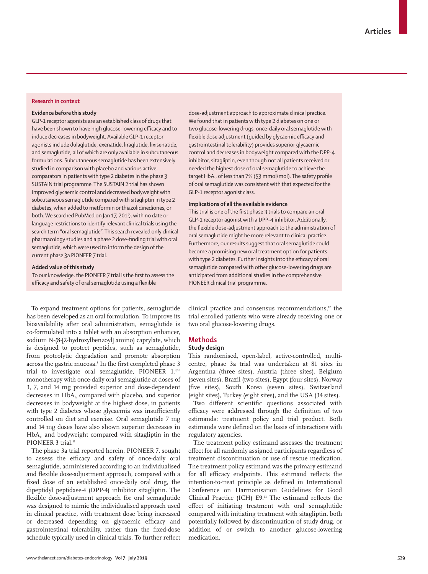# **Research in context**

#### **Evidence before this study**

GLP-1 receptor agonists are an established class of drugs that have been shown to have high glucose-lowering efficacy and to induce decreases in bodyweight. Available GLP-1 receptor agonists include dulaglutide, exenatide, liraglutide, lixisenatide, and semaglutide, all of which are only available in subcutaneous formulations. Subcutaneous semaglutide has been extensively studied in comparison with placebo and various active comparators in patients with type 2 diabetes in the phase 3 SUSTAIN trial programme. The SUSTAIN 2 trial has shown improved glycaemic control and decreased bodyweight with subcutaneous semaglutide compared with sitagliptin in type 2 diabetes, when added to metformin or thiazolidinediones, or both. We searched PubMed on Jan 17, 2019, with no date or language restrictions to identify relevant clinical trials using the search term "oral semaglutide". This search revealed only clinical pharmacology studies and a phase 2 dose-finding trial with oral semaglutide, which were used to inform the design of the current phase 3a PIONEER 7 trial.

#### **Added value of this study**

To our knowledge, the PIONEER 7 trial is the first to assess the efficacy and safety of oral semaglutide using a flexible

dose-adjustment approach to approximate clinical practice. We found that in patients with type 2 diabetes on one or two glucose-lowering drugs, once-daily oral semaglutide with flexible dose adjustment (guided by glycaemic efficacy and gastrointestinal tolerability) provides superior glycaemic control and decreases in bodyweight compared with the DPP-4 inhibitor, sitagliptin, even though not all patients received or needed the highest dose of oral semaglutide to achieve the target HbA<sub>1c</sub> of less than 7% (53 mmol/mol). The safety profile of oral semaglutide was consistent with that expected for the GLP-1 receptor agonist class.

# **Implications of all the available evidence**

This trial is one of the first phase 3 trials to compare an oral GLP-1 receptor agonist with a DPP-4 inhibitor. Additionally, the flexible dose-adjustment approach to the administration of oral semaglutide might be more relevant to clinical practice. Furthermore, our results suggest that oral semaglutide could become a promising new oral treatment option for patients with type 2 diabetes. Further insights into the efficacy of oral semaglutide compared with other glucose-lowering drugs are anticipated from additional studies in the comprehensive PIONEER clinical trial programme.

To expand treatment options for patients, semaglutide has been developed as an oral formulation. To improve its bioavailability after oral administration, semaglutide is co-formulated into a tablet with an absorption enhancer, sodium N-(8-[2-hydroxylbenzoyl] amino) caprylate, which is designed to protect peptides, such as semaglutide, from proteolytic degradation and promote absorption across the gastric mucosa.<sup>8</sup> In the first completed phase 3 trial to investigate oral semaglutide, PIONEER 1,9,10 monotherapy with once-daily oral semaglutide at doses of 3, 7, and 14 mg provided superior and dose-dependent decreases in  $HbA<sub>1c</sub>$  compared with placebo, and superior decreases in bodyweight at the highest dose, in patients with type 2 diabetes whose glycaemia was insufficiently controlled on diet and exercise. Oral semaglutide 7 mg and 14 mg doses have also shown superior decreases in  $HbA<sub>1c</sub>$  and bodyweight compared with sitagliptin in the PIONEER 3 trial.<sup>11</sup>

The phase 3a trial reported herein, PIONEER 7, sought to assess the efficacy and safety of once-daily oral semaglutide, administered according to an individualised and flexible dose-adjustment approach, compared with a fixed dose of an established once-daily oral drug, the dipeptidyl peptidase-4 (DPP-4) inhibitor sitagliptin. The flexible dose-adjustment approach for oral semaglutide was designed to mimic the individualised approach used in clinical practice, with treatment dose being increased or decreased depending on glycaemic efficacy and gastrointestinal tolerability, rather than the fixed-dose schedule typically used in clinical trials. To further reflect clinical practice and consensus recommendations, $12$  the trial enrolled patients who were already receiving one or two oral glucose-lowering drugs**.**

## **Methods**

#### **Study design**

This randomised, open-label, active-controlled, multicentre, phase 3a trial was undertaken at 81 sites in Argentina (three sites), Austria (three sites), Belgium (seven sites), Brazil (two sites), Egypt (four sites), Norway (five sites), South Korea (seven sites), Switzerland (eight sites), Turkey (eight sites), and the USA (34 sites).

Two different scientific questions associated with efficacy were addressed through the definition of two estimands: treatment policy and trial product. Both estimands were defined on the basis of interactions with regulatory agencies.

The treatment policy estimand assesses the treatment effect for all randomly assigned participants regardless of treatment discontinuation or use of rescue medication. The treatment policy estimand was the primary estimand for all efficacy endpoints. This estimand reflects the intention-to-treat principle as defined in International Conference on Harmonisation Guidelines for Good Clinical Practice (ICH) E9.13 The estimand reflects the effect of initiating treatment with oral semaglutide compared with initiating treatment with sitagliptin, both potentially followed by discontinuation of study drug, or addition of or switch to another glucose-lowering medication.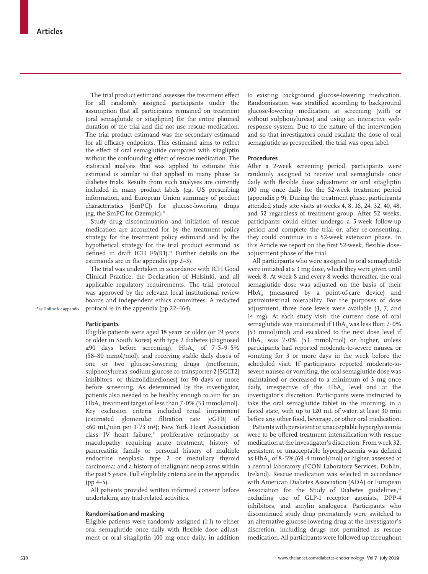The trial product estimand assesses the treatment effect for all randomly assigned participants under the assumption that all participants remained on treatment (oral semaglutide or sitagliptin) for the entire planned duration of the trial and did not use rescue medication. The trial product estimand was the secondary estimand for all efficacy endpoints. This estimand aims to reflect the effect of oral semaglutide compared with sitagliptin without the confounding effect of rescue medication. The statistical analysis that was applied to estimate this estimand is similar to that applied in many phase 3a diabetes trials. Results from such analyses are currently included in many product labels (eg, US prescribing information, and European Union summary of product characteristics [SmPC]) for glucose-lowering drugs (eg, the SmPC for Ozempic).14

Study drug discontinuation and initiation of rescue medication are accounted for by the treatment policy strategy for the treatment policy estimand and by the hypothetical strategy for the trial product estimand as defined in draft ICH E9(R1).<sup>13</sup> Further details on the estimands are in the appendix (pp 2–3).

The trial was undertaken in accordance with ICH Good Clinical Practice, the Declaration of Helsinki, and all applicable regulatory requirements. The trial protocol was approved by the relevant local institutional review boards and independent ethics committees. A redacted protocol is in the appendix (pp 22–164).

See **Online** for appendix

# **Participants**

Eligible patients were aged 18 years or older (or 19 years or older in South Korea) with type 2 diabetes (diagnosed  $≥90$  days before screening), HbA<sub>1c</sub> of 7.5–9.5% (58–80 mmol/mol), and receiving stable daily doses of one or two glucose-lowering drugs (metformin, sulphonylureas, sodium glucose co-transporter-2 [SGLT2] inhibitors, or thiazolidinediones) for 90 days or more before screening. As determined by the investigator, patients also needed to be healthy enough to aim for an  $HbA_{1c}$  treatment target of less than 7 $\cdot$  0% (53 mmol/mol). Key exclusion criteria included renal impairment (estimated glomerular filtration rate [eGFR] of <60 mL/min per 1·73 m²); New York Heart Association class IV heart failure;<sup>15</sup> proliferative retinopathy or maculopathy requiring acute treatment; history of pancreatitis; family or personal history of multiple endocrine neoplasia type 2 or medullary thyroid carcinoma; and a history of malignant neoplasms within the past 5 years. Full eligibility criteria are in the appendix  $(pp 4-5)$ .

All patients provided written informed consent before undertaking any trial-related activities.

# **Randomisation and masking**

Eligible patients were randomly assigned (1:1) to either oral semaglutide once daily with flexible dose adjustment or oral sitagliptin 100 mg once daily, in addition to existing background glucose-lowering medication. Randomisation was stratified according to background glucose-lowering medication at screening (with or without sulphonylureas) and using an interactive webresponse system. Due to the nature of the intervention and so that investigators could escalate the dose of oral semaglutide as prespecified, the trial was open label.

## **Procedures**

After a 2-week screening period, participants were randomly assigned to receive oral semaglutide once daily with flexible dose adjustment or oral sitagliptin 100 mg once daily for the 52-week treatment period (appendix p 9). During the treatment phase, participants attended study site visits at weeks 4, 8, 16, 24, 32, 40, 48, and 52 regardless of treatment group. After 52 weeks, participants could either undergo a 5-week follow-up period and complete the trial or, after re-consenting, they could continue in a 52-week extension phase. In this Article we report on the first 52-week, flexible doseadjustment phase of the trial.

All participants who were assigned to oral semaglutide were initiated at a 3 mg dose, which they were given until week 8. At week 8 and every 8 weeks thereafter, the oral semaglutide dose was adjusted on the basis of their  $HbA<sub>1c</sub>$  (measured by a point-of-care device) and gastrointestinal tolerability. For the purposes of dose adjustment, three dose levels were available (3, 7, and 14 mg). At each study visit, the current dose of oral semaglutide was maintained if  $HbA<sub>1c</sub>$  was less than  $7.0\%$ (53 mmol/mol) and escalated to the next dose level if  $HbA<sub>1c</sub>$  was 7.0% (53 mmol/mol) or higher, unless participants had reported moderate-to-severe nausea or vomiting for 3 or more days in the week before the scheduled visit. If participants reported moderate-tosevere nausea or vomiting, the oral semaglutide dose was maintained or decreased to a minimum of 3 mg once daily, irrespective of the  $HbA_{1c}$  level and at the investigator's discretion. Participants were instructed to take the oral semaglutide tablet in the morning, in a fasted state, with up to 120 mL of water, at least 30 min before any other food, beverage, or other oral medication.

Patients with persistent or unacceptable hyperglycaemia were to be offered treatment intensification with rescue medication at the investigator's discretion. From week 32, persistent or unacceptable hyperglycaemia was defined as  $HbA<sub>1c</sub>$  of  $8.5\%$  (69 $\cdot$ 4 mmol/mol) or higher, assessed at a central laboratory (ICON Laboratory Services, Dublin, Ireland). Rescue medication was selected in accordance with American Diabetes Association (ADA) or European Association for the Study of Diabetes guidelines,<sup>16</sup> excluding use of GLP-1 receptor agonists, DPP-4 inhibitors, and amylin analogues. Participants who discontinued study drug prematurely were switched to an alternative glucose-lowering drug at the investigator's discretion, including drugs not permitted as rescue medication. All participants were followed up throughout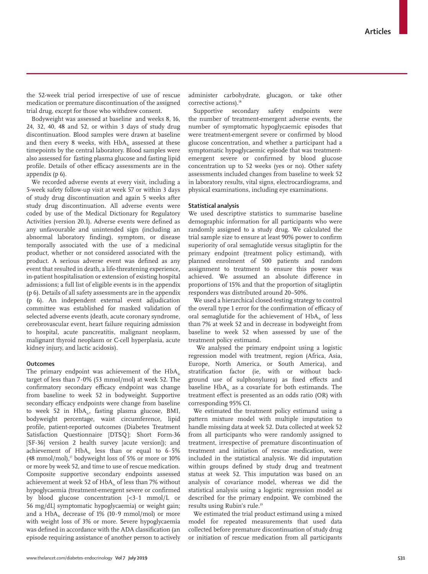the 52-week trial period irrespective of use of rescue medication or premature discontinuation of the assigned trial drug, except for those who withdrew consent.

Bodyweight was assessed at baseline and weeks 8, 16, 24, 32, 40, 48 and 52, or within 3 days of study drug discontinuation. Blood samples were drawn at baseline and then every 8 weeks, with  $HbA<sub>1c</sub>$  assessed at these timepoints by the central laboratory. Blood samples were also assessed for fasting plasma glucose and fasting lipid profile. Details of other efficacy assessments are in the appendix (p 6).

We recorded adverse events at every visit, including a 5-week safety follow-up visit at week 57 or within 3 days of study drug discontinuation and again 5 weeks after study drug discontinuation. All adverse events were coded by use of the Medical Dictionary for Regulatory Activities (version 20.1). Adverse events were defined as any unfavourable and unintended sign (including an abnormal laboratory finding), symptom, or disease temporally associated with the use of a medicinal product, whether or not considered associated with the product. A serious adverse event was defined as any event that resulted in death, a life-threatening experience**,** in-patient hospitalisation or extension of existing hospital admissions; a full list of eligible events is in the appendix (p 6). Details of all safety assessments are in the appendix (p 6). An independent external event adjudication committee was established for masked validation of selected adverse events (death, acute coronary syndrome, cerebrovascular event, heart failure requiring admission to hospital, acute pancreatitis, malignant neoplasm, malignant thyroid neoplasm or C-cell hyperplasia, acute kidney injury, and lactic acidosis).

#### **Outcomes**

The primary endpoint was achievement of the  $HbA<sub>1c</sub>$ target of less than 7·0% (53 mmol/mol) at week 52. The confirmatory secondary efficacy endpoint was change from baseline to week 52 in bodyweight. Supportive secondary efficacy endpoints were change from baseline to week 52 in  $HbA_{1c}$ , fasting plasma glucose, BMI, bodyweight percentage, waist circumference, lipid profile, patient-reported outcomes (Diabetes Treatment Satisfaction Questionnaire [DTSQ]; Short Form-36 [SF-36] version 2 health survey [acute version]); and achievement of  $HbA<sub>1c</sub>$  less than or equal to  $6.5\%$ (48 mmol/mol),<sup>17</sup> bodyweight loss of 5% or more or 10% or more by week 52, and time to use of rescue medication. Composite supportive secondary endpoints assessed achievement at week 52 of HbA<sub>1c</sub> of less than 7% without hypoglycaemia (treatment-emergent severe or confirmed by blood glucose concentration [<3·1 mmol/L or 56 mg/dL] symptomatic hypoglycaemia) or weight gain; and a  $HbA<sub>1c</sub>$  decrease of 1% (10.9 mmol/mol) or more with weight loss of 3% or more. Severe hypoglycaemia was defined in accordance with the ADA classification (an episode requiring assistance of another person to actively administer carbohydrate, glucagon, or take other corrective actions).<sup>18</sup>

Supportive secondary safety endpoints were the number of treatment-emergent adverse events, the number of symptomatic hypoglycaemic episodes that were treatment-emergent severe or confirmed by blood glucose concentration, and whether a participant had a symptomatic hypoglycaemic episode that was treatmentemergent severe or confirmed by blood glucose concentration up to 52 weeks (yes or no). Other safety assessments included changes from baseline to week 52 in laboratory results, vital signs, electrocardiograms, and physical examinations, including eye examinations.

# **Statistical analysis**

We used descriptive statistics to summarise baseline demographic information for all participants who were randomly assigned to a study drug. We calculated the trial sample size to ensure at least 90% power to confirm superiority of oral semaglutide versus sitagliptin for the primary endpoint (treatment policy estimand), with planned enrolment of 500 patients and random assignment to treatment to ensure this power was achieved. We assumed an absolute difference in proportions of 15% and that the proportion of sitagliptin responders was distributed around 20–50%.

We used a hierarchical closed-testing strategy to control the overall type 1 error for the confirmation of efficacy of oral semaglutide for the achievement of HbA<sub>1c</sub> of less than 7% at week 52 and in decrease in bodyweight from baseline to week 52 when assessed by use of the treatment policy estimand.

 We analysed the primary endpoint using a logistic regression model with treatment, region (Africa, Asia, Europe, North America, or South America), and stratification factor (ie, with or without background use of sulphonylurea) as fixed effects and baseline  $HbA<sub>1c</sub>$  as a covariate for both estimands. The treatment effect is presented as an odds ratio (OR) with corresponding 95% CI.

We estimated the treatment policy estimand using a pattern mixture model with multiple imputation to handle missing data at week 52. Data collected at week 52 from all participants who were randomly assigned to treatment, irrespective of premature discontinuation of treatment and initiation of rescue medication, were included in the statistical analysis. We did imputation within groups defined by study drug and treatment status at week 52. This imputation was based on an analysis of covariance model, whereas we did the statistical analysis using a logistic regression model as described for the primary endpoint. We combined the results using Rubin's rule.19

We estimated the trial product estimand using a mixed model for repeated measurements that used data collected before premature discontinuation of study drug or initiation of rescue medication from all participants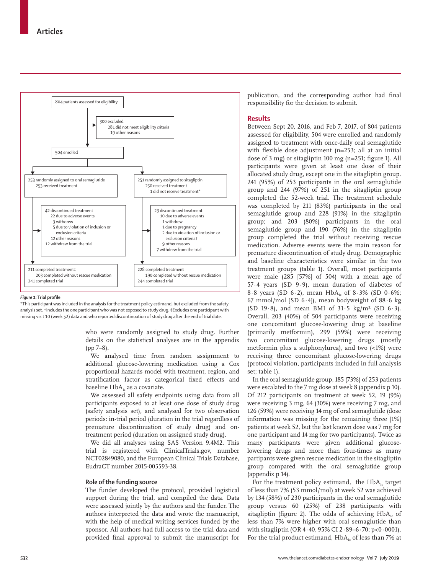

#### *Figure 1:* **Trial profile**

\*This participant was included in the analysis for the treatment policy estimand, but excluded from the safety analysis set. †Includes the one participant who was not exposed to study drug. ‡Excludes one participant with missing visit 10 (week 52) data and who reported discontinuation of study drug after the end of trial date.

> who were randomly assigned to study drug. Further details on the statistical analyses are in the appendix (pp 7–8).

> We analysed time from random assignment to additional glucose-lowering medication using a Cox proportional hazards model with treatment, region, and stratification factor as categorical fixed effects and baseline  $HbA<sub>k</sub>$  as a covariate.

We assessed all safety endpoints using data from all participants exposed to at least one dose of study drug (safety analysis set), and analysed for two observation periods: in-trial period (duration in the trial regardless of premature discontinuation of study drug) and ontreatment period (duration on assigned study drug).

We did all analyses using SAS Version 9.4M2. This trial is registered with ClinicalTrials.gov, number NCT02849080, and the European Clinical Trials Database, EudraCT number 2015-005593-38.

#### **Role of the funding source**

The funder developed the protocol, provided logistical support during the trial, and compiled the data. Data were assessed jointly by the authors and the funder. The authors interpreted the data and wrote the manuscript, with the help of medical writing services funded by the sponsor. All authors had full access to the trial data and provided final approval to submit the manuscript for

publication, and the corresponding author had final responsibility for the decision to submit.

## **Results**

Between Sept 20, 2016, and Feb 7, 2017, of 804 patients assessed for eligibility, 504 were enrolled and randomly assigned to treatment with once-daily oral semaglutide with flexible dose adjustment (n=253; all at an initial dose of 3 mg) or sitagliptin 100 mg (n=251; figure 1). All participants were given at least one dose of their allocated study drug, except one in the sitagliptin group. 241 (95%) of 253 participants in the oral semaglutide group and 244 (97%) of 251 in the sitagliptin group completed the 52-week trial. The treatment schedule was completed by 211 (83%) participants in the oral semaglutide group and 228 (91%) in the sitagliptin group; and 203 (80%) participants in the oral semaglutide group and 190 (76%) in the sitagliptin group completed the trial without receiving rescue medication. Adverse events were the main reason for premature discontinuation of study drug. Demographic and baseline characteristics were similar in the two treatment groups (table 1). Overall, most participants were male (285 [57%] of 504) with a mean age of 57·4 years (SD 9·9), mean duration of diabetes of 8.8 years (SD 6.2), mean  $HbA_1$  of 8.3% (SD 0.6%; 67 mmol/mol [SD 6 $\cdot$ 4]), mean bodyweight of 88 $\cdot$ 6 kg (SD 19 $\cdot$ 8), and mean BMI of 31 $\cdot$ 5 kg/m<sup>2</sup> (SD 6 $\cdot$ 3). Overall, 203 (40%) of 504 participants were receiving one concomitant glucose-lowering drug at baseline (primarily metformin), 299 (59%) were receiving two concomitant glucose-lowering drugs (mostly metformin plus a sulphonylurea), and two (<1%) were receiving three concomitant glucose-lowering drugs (protocol violation, participants included in full analysis set; table 1).

In the oral semaglutide group, 185 (73%) of 253 patients were escalated to the 7 mg dose at week 8 (appendix p 10). Of 212 participants on treatment at week 52, 19 (9%) were receiving 3 mg, 64 (30%) were receiving 7 mg, and 126 (59%) were receiving 14 mg of oral semaglutide (dose information was missing for the remaining three [1%] patients at week 52, but the last known dose was 7 mg for one participant and 14 mg for two participants). Twice as many participants were given additional glucoselowering drugs and more than four-times as many partipants were given rescue medication in the sitagliptin group compared with the oral semaglutide group (appendix p 14).

For the treatment policy estimand, the  $HbA<sub>1c</sub>$  target of less than 7% (53 mmol/mol) at week 52 was achieved by 134 (58%) of 230 participants in the oral semaglutide group versus 60 (25%) of 238 participants with sitagliptin (figure 2). The odds of achieving  $HbA<sub>1c</sub>$  of less than 7% were higher with oral semaglutide than with sitagliptin (OR 4·40, 95% CI 2·89–6·70; p<0·0001). For the trial product estimand,  $HbA<sub>1c</sub>$  of less than 7% at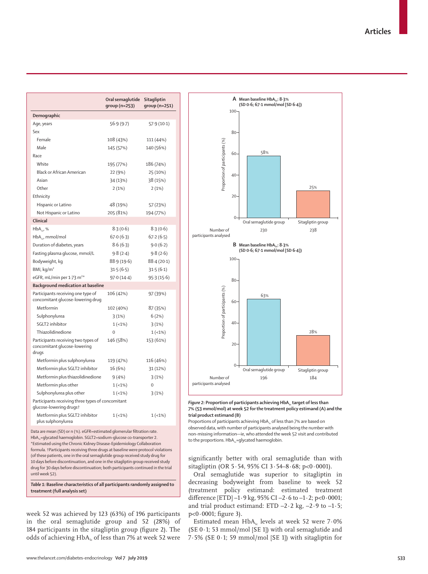**Articles**

|                                                                              | Oral semaglutide<br>group (n=253) | Sitagliptin<br>group (n=251) |  |  |  |
|------------------------------------------------------------------------------|-----------------------------------|------------------------------|--|--|--|
| Demographic                                                                  |                                   |                              |  |  |  |
| Age, years                                                                   | 56.9(9.7)                         | 57.9(10.1)                   |  |  |  |
| Sex                                                                          |                                   |                              |  |  |  |
| Female                                                                       | 108 (43%)                         | 111 (44%)                    |  |  |  |
| Male                                                                         | 145 (57%)                         | 140 (56%)                    |  |  |  |
| Race                                                                         |                                   |                              |  |  |  |
| White                                                                        | 195 (77%)                         | 186 (74%)                    |  |  |  |
| <b>Black or African American</b>                                             | 22 (9%)                           | 25 (10%)                     |  |  |  |
| Asian                                                                        | 34 (13%)                          | 38 (15%)                     |  |  |  |
| Other                                                                        | 2(1%)                             | 2(1%)                        |  |  |  |
| Ethnicity                                                                    |                                   |                              |  |  |  |
| Hispanic or Latino                                                           | 48 (19%)                          | 57 (23%)                     |  |  |  |
| Not Hispanic or Latino                                                       | 205 (81%)                         | 194 (77%)                    |  |  |  |
| Clinical                                                                     |                                   |                              |  |  |  |
| $HbA_{11}$ , %                                                               | 8.3(0.6)                          | 8.3(0.6)                     |  |  |  |
| $HbA_{11}$ , mmol/mol                                                        | 67.0(6.3)                         | 67.2(6.5)                    |  |  |  |
| Duration of diabetes, years                                                  | 8.6(6.3)                          | 9.0(6.2)                     |  |  |  |
| Fasting plasma glucose, mmol/L                                               | 9.8(2.4)                          | 9.8(2.6)                     |  |  |  |
| Bodyweight, kg                                                               | 88.9 (19.6)                       | 88.4(20.1)                   |  |  |  |
| BMI, kg/m <sup>2</sup>                                                       | 31.5(6.5)                         | 31.5(6.1)                    |  |  |  |
| eGFR, mL/min per 1.73 m <sup>2*</sup>                                        | 97.0(14.4)                        | 95.3(15.6)                   |  |  |  |
| <b>Background medication at baseline</b>                                     |                                   |                              |  |  |  |
| Participants receiving one type of<br>concomitant glucose-lowering drug      | 106 (42%)                         | 97 (39%)                     |  |  |  |
| Metformin                                                                    | 102 (40%)                         | 87 (35%)                     |  |  |  |
| Sulphonylurea                                                                | 3(1%)                             | 6(2%)                        |  |  |  |
| SGLT2 inhibitor                                                              | $1(-1%)$                          | 3(1%)                        |  |  |  |
| Thiazolidinedione                                                            | 0                                 | $1(-1%)$                     |  |  |  |
| Participants receiving two types of<br>concomitant glucose-lowering<br>drugs | 146 (58%)                         | 153 (61%)                    |  |  |  |
| Metformin plus sulphonylurea                                                 | 119 (47%)                         | 116 (46%)                    |  |  |  |
| Metformin plus SGLT2 inhibitor                                               | 16 (6%)                           | 31 (12%)                     |  |  |  |
| Metformin plus thiazolidinedione                                             | 9(4%)                             | 3(1%)                        |  |  |  |
| Metformin plus other                                                         | $1(-1%)$                          | $\Omega$                     |  |  |  |
| Sulphonylurea plus other                                                     | $1(-1%)$                          | 3(1%)                        |  |  |  |
| Participants receiving three types of concomitant<br>glucose-lowering drugst |                                   |                              |  |  |  |
| Metformin plus SGLT2 inhibitor<br>plus sulphonylurea                         | $1(-1%)$                          | $1(-1%)$                     |  |  |  |
|                                                                              |                                   |                              |  |  |  |

Data are mean (SD) or n (%). eGFR=estimated glomerular filtration rate. HbA<sub>1c</sub>=glycated haemoglobin. SGLT2=sodium-glucose co-transporter 2. \*Estimated using the Chronic Kidney Disease-Epidemiology Collaboration formula. †Participants receiving three drugs at baseline were protocol violations (of these patients, one in the oral semaglutide group received study drug for 10 days before discontinuation, and one in the sitagliptin group received study drug for 30 days before discontinuation; both participants continued in the trial until week 52).

*Table 1:* **Baseline characteristics of all participants randomly assigned to treatment (full analysis set)**

week 52 was achieved by 123 (63%) of 196 participants in the oral semaglutide group and 52 (28%) of 184 participants in the sitagliptin group (figure 2). The odds of achieving  $HbA_{1c}$  of less than 7% at week 52 were



Figure 2: Proportion of participants achieving HbA<sub>1c</sub> target of less than **7% (53 mmol/mol) at week 52 for the treatment policy estimand (A) and the trial product estimand (B)**

Proportions of participants achieving  $HbA<sub>1c</sub>$  of less than 7% are based on observed data, with number of participants analysed being the number with non-missing information—ie, who attended the week 52 visit and contributed to the proportions.  $HbA_{1c}$ =glycated haemoglobin.

significantly better with oral semaglutide than with sitagliptin (OR 5·54, 95% CI 3·54–8·68; p<0·0001).

Oral semaglutide was superior to sitagliptin in decreasing bodyweight from baseline to week 52 (treatment policy estimand: estimated treatment difference [ETD]  $-1.9$  kg, 95% CI  $-2.6$  to  $-1.2$ ; p<0.0001; and trial product estimand: ETD  $-2.2$  kg,  $-2.9$  to  $-1.5$ ; p<0·0001; figure 3).

Estimated mean  $HbA_i$  levels at week 52 were 7.0% (SE  $0.1$ ; 53 mmol/mol [SE 1]) with oral semaglutide and 7∙5% (SE 0·1; 59 mmol/mol [SE 1]) with sitagliptin for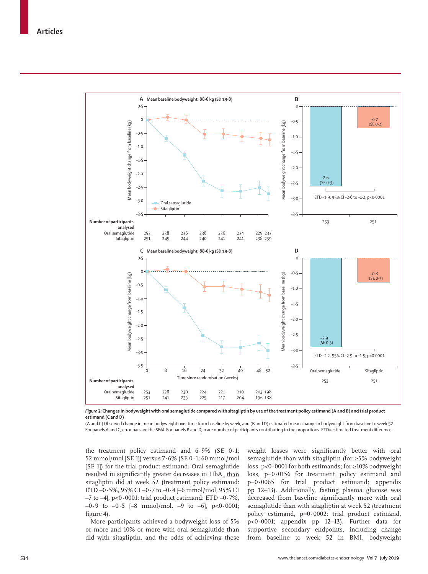

*Figure 3:* **Changes in bodyweight with oral semaglutide compared with sitagliptin by use of the treatment policy estimand (A and B) and trial product estimand (C and D)**

(A and C) Observed change in mean bodyweight over time from baseline by week, and (B and D) estimated mean change in bodyweight from baseline to week 52. For panels A and C, error bars are the SEM. For panels B and D, n are number of participants contributing to the proportions. ETD=estimated treatment difference.

the treatment policy estimand and 6·9% (SE 0·1; 52 mmol/mol [SE 1]) versus 7·6% (SE 0·1; 60 mmol/mol [SE 1]) for the trial product estimand. Oral semaglutide resulted in significantly greater decreases in  $HbA<sub>1c</sub>$  than sitagliptin did at week 52 (treatment policy estimand: ETD  $-0.5\%$ , 95% CI $-0.7$  to  $-0.4$   $[-6$  mmol/mol, 95% CI  $-7$  to  $-4$ ], p<0 $\cdot$ 0001; trial product estimand: ETD  $-0.7\%$ , –0·9 to –0·5 [–8 mmol/mol, –9 to –6], p<0·0001; figure 4).

More participants achieved a bodyweight loss of 5% or more and 10% or more with oral semaglutide than did with sitagliptin, and the odds of achieving these weight losses were significantly better with oral semaglutide than with sitagliptin (for ≥5% bodyweight loss, p<0·0001 for both estimands; for ≥10% bodyweight loss, p=0·0156 for treatment policy estimand and p=0·0065 for trial product estimand; appendix pp 12–13). Additionally, fasting plasma glucose was decreased from baseline significantly more with oral semaglutide than with sitagliptin at week 52 (treatment policy estimand, p=0·0002; trial product estimand, p<0·0001; appendix pp 12–13). Further data for supportive secondary endpoints, including change from baseline to week 52 in BMI, bodyweight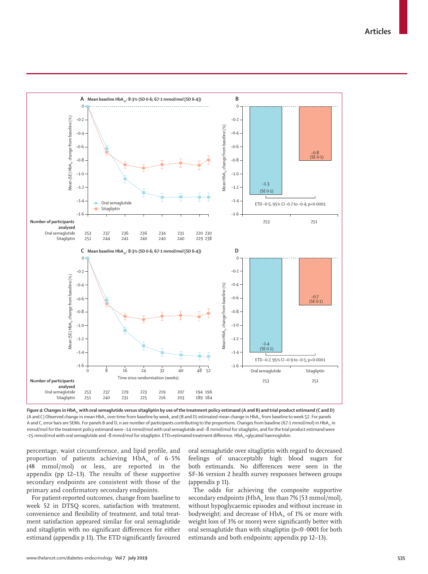

Figure 4: Changes in HbA<sub>ix</sub> with oral semaglutide versus sitagliptin by use of the treatment policy estimand (A and B) and trial product estimand (C and D) (A and C) Observed change in mean HbA<sub>1c</sub> over time from baseline by week, and (B and D) estimated mean change in HbA<sub>1c</sub> from baseline to week 52. For panels A and C, error bars are SEMs. For panels B and D, n are number of participants contributing to the proportions. Changes from baseline (67.1 mmol/mol) in HbA, in mmol/mol for the treatment policy estimand were –14 mmol/mol with oral semaglutide and –8 mmol/mol for sitagliptin, and for the trial product estimand were –15 mmol/mol with oral semaglutide and –8 mmol/mol for sitagliptin. ETD=estimated treatment difference. HbA<sub>1c</sub>=glycated haemoglobin.

percentage, waist circumference, and lipid profile, and proportion of patients achieving  $HbA_1$  of 6.5% (48 mmol/mol) or less, are reported in the appendix (pp 12–13). The results of these supportive secondary endpoints are consistent with those of the primary and confirmatory secondary endpoints.

For patient-reported outcomes, change from baseline to week 52 in DTSQ scores, satisfaction with treatment, convenience and flexibility of treatment, and total treatment satisfaction appeared similar for oral semaglutide and sitagliptin with no significant differences for either estimand (appendix p 11). The ETD significantly favoured oral semaglutide over sitagliptin with regard to decreased feelings of unacceptably high blood sugars for both estimands. No differences were seen in the SF-36 version 2 health survey responses between groups (appendix p 11).

The odds for achieving the composite supportive secondary endpoints (HbA<sub>1c</sub> less than 7% [53 mmol/mol], without hypoglycaemic episodes and without increase in bodyweight; and decrease of HbA<sub>1c</sub> of 1% or more with weight loss of 3% or more) were significantly better with oral semaglutide than with sitagliptin  $(p<0.0001$  for both estimands and both endpoints; appendix pp 12–13).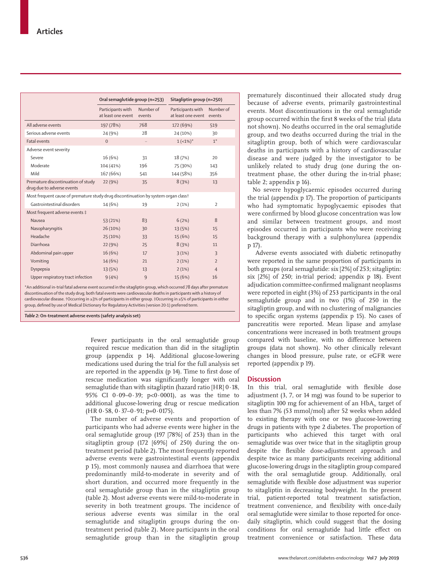|                                                                                                                                                                                                                                                                       | Oral semaglutide group (n=253)                |                     | Sitagliptin group (n=250)               |                     |  |
|-----------------------------------------------------------------------------------------------------------------------------------------------------------------------------------------------------------------------------------------------------------------------|-----------------------------------------------|---------------------|-----------------------------------------|---------------------|--|
|                                                                                                                                                                                                                                                                       | Participants with<br>at least one event       | Number of<br>events | Participants with<br>at least one event | Number of<br>events |  |
| All adverse events                                                                                                                                                                                                                                                    | 197 (78%)                                     | 768                 | 172 (69%)                               | 519                 |  |
| Serious adverse events                                                                                                                                                                                                                                                | 24 (9%)                                       | 28                  | 24 (10%)                                | 30                  |  |
| <b>Fatal events</b>                                                                                                                                                                                                                                                   | $\Omega$                                      |                     | $1 (-1\%)^*$                            | $1^*$               |  |
| Adverse event severity                                                                                                                                                                                                                                                |                                               |                     |                                         |                     |  |
| Severe                                                                                                                                                                                                                                                                | 16 (6%)                                       | 31                  | 18 (7%)                                 | 20                  |  |
| Moderate                                                                                                                                                                                                                                                              | 104 (41%)                                     | 196                 | 75 (30%)                                | 143                 |  |
| Mild                                                                                                                                                                                                                                                                  | 167 (66%)                                     | 541                 | 144 (58%)                               | 356                 |  |
| Premature discontinuation of study<br>drug due to adverse events                                                                                                                                                                                                      | 22 (9%)                                       | 35                  | 8(3%)                                   | 13                  |  |
| Most frequent cause of premature study drug discontinuation by system organ class†                                                                                                                                                                                    |                                               |                     |                                         |                     |  |
| Gastrointestinal disorders                                                                                                                                                                                                                                            | 14 (6%)                                       | 19                  | 2(1%)                                   | $\overline{2}$      |  |
| Most frequent adverse events ‡                                                                                                                                                                                                                                        |                                               |                     |                                         |                     |  |
| Nausea                                                                                                                                                                                                                                                                | 53 (21%)                                      | 83                  | 6(2%)                                   | 8                   |  |
| Nasopharyngitis                                                                                                                                                                                                                                                       | 26 (10%)                                      | 30                  | 13 (5%)                                 | 15                  |  |
| Headache                                                                                                                                                                                                                                                              | 25 (10%)                                      | 33                  | 15 (6%)                                 | 15                  |  |
| Diarrhoea                                                                                                                                                                                                                                                             | 22(9%)                                        | 25                  | 8(3%)                                   | 11                  |  |
| Abdominal pain upper                                                                                                                                                                                                                                                  | 16(6%)                                        | 17                  | 3(1%)                                   | $\overline{3}$      |  |
| Vomiting                                                                                                                                                                                                                                                              | 14 (6%)                                       | 21                  | 2(1%)                                   | $\overline{2}$      |  |
| Dyspepsia                                                                                                                                                                                                                                                             | 13 (5%)                                       | 13                  | 2(1%)                                   | $\overline{4}$      |  |
| Upper respiratory tract infection<br>$\mathbf{a}$ and the state of the state of the state of the state of the state of the state of the state of the state of the state of the state of the state of the state of the state of the state of the state of the state of | 9(4%)<br>and the contract and the contract of | 9                   | 15 (6%)<br>$1 - 0$<br>$\sim$            | 16                  |  |

\*An additional in-trial fatal adverse event occurred in the sitagliptin group, which occurred 78 days after prematu discontinuation of the study drug; both fatal events were cardiovascular deaths in participants with a history of cardiovascular disease. †Occurring in ≥3% of participants in either group. ‡Occurring in ≥5% of participants in either group, defined by use of Medical Dictionary for Regulatory Activities (version 20·1) preferred term.

*Table 2:* **On-treatment adverse events (safety analysis set)**

Fewer participants in the oral semaglutide group required rescue medication than did in the sitagliptin group (appendix p 14). Additional glucose-lowering medications used during the trial for the full analysis set are reported in the appendix (p 14). Time to first dose of rescue medication was significantly longer with oral semaglutide than with sitagliptin (hazard ratio [HR]  $0.18$ , 95% CI 0·09–0·39; p<0·0001), as was the time to additional glucose-lowering drug or rescue medication  $(HR 0.58, 0.37-0.91; p=0.0175).$ 

The number of adverse events and proportion of participants who had adverse events were higher in the oral semaglutide group (197 [78%] of 253) than in the sitagliptin group (172 [69%] of 250) during the ontreatment period (table 2). The most frequently reported adverse events were gastrointestinal events (appendix p 15), most commonly nausea and diarrhoea that were predominantly mild-to-moderate in severity and of short duration, and occurred more frequently in the oral semaglutide group than in the sitagliptin group (table 2). Most adverse events were mild-to-moderate in severity in both treatment groups. The incidence of serious adverse events was similar in the oral semaglutide and sitagliptin groups during the ontreatment period (table 2). More participants in the oral semaglutide group than in the sitagliptin group prematurely discontinued their allocated study drug because of adverse events, primarily gastrointestinal events. Most discontinuations in the oral semaglutide group occurred within the first 8 weeks of the trial (data not shown). No deaths occurred in the oral semaglutide group, and two deaths occurred during the trial in the sitagliptin group, both of which were cardiovascular deaths in participants with a history of cardiovascular disease and were judged by the investigator to be unlikely related to study drug (one during the ontreatment phase, the other during the in-trial phase; table 2; appendix p 16).

No severe hypoglycaemic episodes occurred during the trial (appendix p 17). The proportion of participants who had symptomatic hypoglycaemic episodes that were confirmed by blood glucose concentration was low and similar between treatment groups, and most episodes occurred in participants who were receiving background therapy with a sulphonylurea (appendix p 17).

 Adverse events associated with diabetic retinopathy were reported in the same proportion of participants in both groups (oral semaglutide: six [2%] of 253; sitagliptin: six [2%] of 250; in-trial period; appendix p 18). Event adjudication committee-confirmed malignant neoplasms were reported in eight (3%) of 253 participants in the oral semaglutide group and in two (1%) of 250 in the sitagliptin group, and with no clustering of malignancies to specific organ systems (appendix p 15). No cases of pancreatitis were reported. Mean lipase and amylase concentrations were increased in both treatment groups compared with baseline, with no difference between groups (data not shown). No other clinically relevant changes in blood pressure, pulse rate, or eGFR were reported (appendix p 19).

# **Discussion**

In this trial, oral semaglutide with flexible dose adjustment (3, 7, or 14 mg) was found to be superior to sitagliptin 100 mg for achievement of an  $HbA_1$ <sub>c</sub> target of less than 7% (53 mmol/mol) after 52 weeks when added to existing therapy with one or two glucose-lowering drugs in patients with type 2 diabetes. The proportion of participants who achieved this target with oral semaglutide was over twice that in the sitagliptin group despite the flexible dose-adjustment approach and despite twice as many participants receiving additional glucose-lowering drugs in the sitagliptin group compared with the oral semaglutide group. Additionally, oral semaglutide with flexible dose adjustment was superior to sitagliptin in decreasing bodyweight. In the present trial, patient-reported total treatment satisfaction, treatment convenience, and flexibility with once-daily oral semaglutide were similar to those reported for oncedaily sitagliptin, which could suggest that the dosing conditions for oral semaglutide had little effect on treatment convenience or satisfaction. These data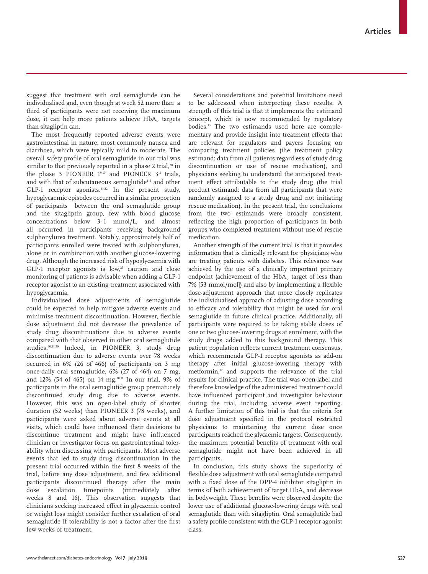suggest that treatment with oral semaglutide can be individualised and, even though at week 52 more than a third of participants were not receiving the maximum dose, it can help more patients achieve  $HbA<sub>i</sub>$  targets than sitagliptin can.

The most frequently reported adverse events were gastrointestinal in nature, most commonly nausea and diarrhoea, which were typically mild to moderate. The overall safety profile of oral semaglutide in our trial was similar to that previously reported in a phase 2 trial,<sup>20</sup> in the phase 3 PIONEER  $1^{9,10}$  and PIONEER  $3^{11}$  trials, and with that of subcutaneous semaglutide<sup>1-3</sup> and other GLP-1 receptor agonists.<sup>21,22</sup> In the present study, hypoglycaemic episodes occurred in a similar proportion of participants between the oral semaglutide group and the sitagliptin group, few with blood glucose concentrations below 3·1 mmol/L, and almost all occurred in participants receiving background sulphonylurea treatment. Notably, approximately half of participants enrolled were treated with sulphonylurea, alone or in combination with another glucose-lowering drug. Although the increased risk of hypoglycaemia with GLP-1 receptor agonists is  $low, <sup>23</sup>$  caution and close monitoring of patients is advisable when adding a GLP-1 receptor agonist to an existing treatment associated with hypoglycaemia.

Individualised dose adjustments of semaglutide could be expected to help mitigate adverse events and minimise treatment discontinuation. However, flexible dose adjustment did not decrease the prevalence of study drug discontinuations due to adverse events compared with that observed in other oral semaglutide studies.10,11,20 Indeed, in PIONEER 3, study drug discontinuation due to adverse events over 78 weeks occurred in 6% (26 of 466) of participants on 3 mg once-daily oral semaglutide, 6% (27 of 464) on 7 mg, and 12% (54 of 465) on 14 mg.10,11 In our trial, 9% of participants in the oral semaglutide group prematurely discontinued study drug due to adverse events. However, this was an open-label study of shorter duration (52 weeks) than PIONEER 3 (78 weeks), and participants were asked about adverse events at all visits, which could have influenced their decisions to discontinue treatment and might have influenced clinician or investigator focus on gastrointestinal tolerability when discussing with participants. Most adverse events that led to study drug discontinuation in the present trial occurred within the first 8 weeks of the trial, before any dose adjustment, and few additional participants discontinued therapy after the main dose escalation timepoints (immediately after weeks 8 and 16). This observation suggests that clinicians seeking increased effect in glycaemic control or weight loss might consider further escalation of oral semaglutide if tolerability is not a factor after the first few weeks of treatment.

Several considerations and potential limitations need to be addressed when interpreting these results. A strength of this trial is that it implements the estimand concept, which is now recommended by regulatory bodies.13 The two estimands used here are complementary and provide insight into treatment effects that are relevant for regulators and payers focusing on comparing treatment policies (the treatment policy estimand: data from all patients regardless of study drug discontinuation or use of rescue medication), and physicians seeking to understand the anticipated treatment effect attributable to the study drug (the trial product estimand: data from all participants that were randomly assigned to a study drug and not initiating rescue medication). In the present trial, the conclusions from the two estimands were broadly consistent, reflecting the high proportion of participants in both groups who completed treatment without use of rescue medication.

Another strength of the current trial is that it provides information that is clinically relevant for physicians who are treating patients with diabetes. This relevance was achieved by the use of a clinically important primary endpoint (achievement of the  $HbA<sub>1c</sub>$  target of less than 7% [53 mmol/mol]) and also by implementing a flexible dose-adjustment approach that more closely replicates the individualised approach of adjusting dose according to efficacy and tolerability that might be used for oral semaglutide in future clinical practice. Additionally, all participants were required to be taking stable doses of one or two glucose-lowering drugs at enrolment, with the study drugs added to this background therapy. This patient population reflects current treatment consensus, which recommends GLP-1 receptor agonists as add-on therapy after initial glucose-lowering therapy with metformin,<sup>12</sup> and supports the relevance of the trial results for clinical practice. The trial was open-label and therefore knowledge of the administered treatment could have influenced participant and investigator behaviour during the trial, including adverse event reporting. A further limitation of this trial is that the criteria for dose adjustment specified in the protocol restricted physicians to maintaining the current dose once participants reached the glycaemic targets. Consequently, the maximum potential benefits of treatment with oral semaglutide might not have been achieved in all participants.

In conclusion, this study shows the superiority of flexible dose adjustment with oral semaglutide compared with a fixed dose of the DPP-4 inhibitor sitagliptin in terms of both achievement of target  $HbA<sub>i</sub>$  and decrease in bodyweight. These benefits were observed despite the lower use of additional glucose-lowering drugs with oral semaglutide than with sitagliptin. Oral semaglutide had a safety profile consistent with the GLP-1 receptor agonist class.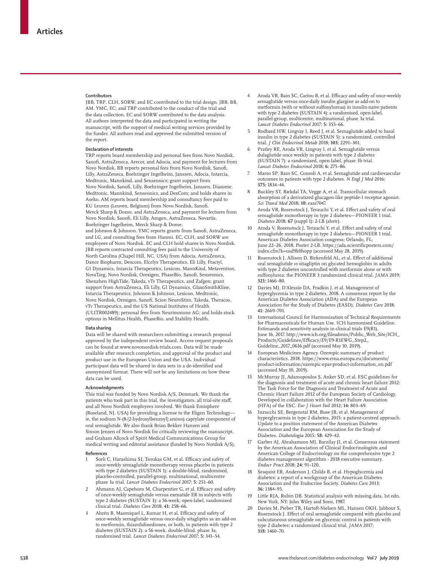#### **Contributors**

JBB, TRP, CLH, SORW, and EC contributed to the trial design. JBB, BB, AM, YMC, EC, and TRP contributed to the conduct of the trial and the data collection. EC and SORW contributed to the data analysis. All authors interpreted the data and participated in writing the manuscript, with the support of medical writing services provided by the funder. All authors read and approved the submitted version of the report.

#### **Declaration of interests**

TRP reports board membership and personal fees from Novo Nordisk, Sanofi, AstraZeneca, Arecor, and Adocia, and payment for lectures from Novo Nordisk. BB reports personal fees from Novo Nordisk, Sanofi, Lilly, AstraZeneca, Boehringer Ingelheim, Janssen, Adocia, Intarcia, Medtronic, Mannkind, and Senseonics; grant support from Novo Nordisk, Sanofi, Lilly, Boehringer Ingelheim, Janssen, Diasome, Medtronic, Mannkind, Senseonics, and DexCom; and holds shares in Aseko. AM reports board membership and consultancy fees paid to KU Leuven (Leuven, Belgium) from Novo Nordisk, Sanofi, Merck Sharp & Dome, and AstraZeneca, and payment for lectures from Novo Nordisk, Sanofi, Eli Lilly, Amgen, AstraZeneca, Novartis, Boehringer Ingelheim, Merck Sharp & Dome, and Johnson & Johnson. YMC reports grants from Sanofi, AstraZeneca, and LG, and consulting fees from Hanmi. EC, CLH, and SORW are employees of Novo Nordisk. EC and CLH hold shares in Novo Nordisk. JBB reports contracted consulting fees paid to the University of North Carolina (Chapel Hill, NC, USA) from Adocia, AstraZeneca, Dance Biopharm, Dexcom, Elcelyx Therapeutics, Eli Lilly, Fractyl, GI Dynamics, Intarcia Therapeutics, Lexicon, MannKind, Metavention, NovaTarg, Novo Nordisk, Orexigen, PhaseBio, Sanofi, Senseonics, Shenzhen HighTide, Takeda, vTv Therapeutics, and Zafgen; grant support from AstraZeneca, Eli Lilly, GI Dynamics, GlaxoSmithKline, Intarcia Therapeutics, Johnson & Johnson, Lexicon, Medtronic, Novo Nordisk, Orexigen, Sanofi, Scion NeuroStim, Takeda, Theracos, vTv Therapeutics, and the US National Institutes of Health (UL1TR002489); personal fees from Neurimmune AG; and holds stock options in Mellitus Health, PhaseBio, and Stability Health.

#### **Data sharing**

Data will be shared with researchers submitting a research proposal approved by the independent review board. Access request proposals can be found at www.novonordisk-trials.com. Data will be made available after research completion, and approval of the product and product use in the European Union and the USA. Individual participant data will be shared in data sets in a de-identified and anonymised format. There will not be any limitations on how these data can be used.

#### **Acknowledgments**

This trial was funded by Novo Nordisk A/S, Denmark. We thank the patients who took part in this trial, the investigators, all trial-site staff, and all Novo Nordisk employees involved. We thank Emisphere (Roseland, NJ, USA) for providing a license to the Eligen Technology ie, the sodium N-(8-[2-hydroxylbenzoyl] amino) caprylate component of oral semaglutide. We also thank Brian Bekker Hansen and Simon Jensen of Novo Nordisk for critically reviewing the manuscript, and Graham Allcock of Spirit Medical Communications Group for medical writing and editorial assistance (funded by Novo Nordisk A/S).

#### **References**

- Sorli C, Harashima SI, Tsoukas GM, et al. Efficacy and safety of once-weekly semaglutide monotherapy versus placebo in patients with type 2 diabetes (SUSTAIN 1): a double-blind, randomised, placebo-controlled, parallel-group, multinational, multicentre phase 3a trial. *Lancet Diabetes Endocrinol* 2017; **5:** 251–60.
- Ahmann AJ, Capehorn M, Charpentier G, et al. Efficacy and safety of once-weekly semaglutide versus exenatide ER in subjects with type 2 diabetes (SUSTAIN 3): a 56-week, open-label, randomized clinical trial. *Diabetes Care* 2018; **41:** 258–66.
- 3 Ahrén B, Masmiquel L, Kumar H, et al. Efficacy and safety of once-weekly semaglutide versus once-daily sitagliptin as an add-on to metformin, thiazolidinediones, or both, in patients with type 2 diabetes (SUSTAIN 2): a 56-week, double-blind, phase 3a, randomised trial. *Lancet Diabetes Endocrinol* 2017; **5:** 341–54.
- 4 Aroda VR, Bain SC, Cariou B, et al. Efficacy and safety of once-weekly semaglutide versus once-daily insulin glargine as add-on to metformin (with or without sulfonylureas) in insulin-naive patients with type 2 diabetes (SUSTAIN 4): a randomised, open-label, parallel-group, multicentre, multinational, phase 3a trial. *Lancet Diabetes Endocrinol* 2017; **5:** 355–66.
- 5 Rodbard HW, Lingvay I, Reed J, et al. Semaglutide added to basal insulin in type 2 diabetes (SUSTAIN 5): a randomized, controlled trial. *J Clin Endocrinol Metab* 2018; **103:** 2291–301.
- 6 Pratley RE, Aroda VR, Lingvay I, et al. Semaglutide versus dulaglutide once weekly in patients with type 2 diabetes (SUSTAIN 7): a randomised, open-label, phase 3b trial. *Lancet Diabetes Endocrinol* 2018; **6:** 275–86.
- 7 Marso SP, Bain SC, Consoli A, et al. Semaglutide and cardiovascular outcomes in patients with type 2 diabetes. *N Engl J Med* 2016; **375:** 1834–44.
- 8 Buckley ST, Bækdal TA, Vegge A, et al. Transcellular stomach absorption of a derivatized glucagon-like peptide-1 receptor agonist. *Sci Transl Med* 2018; **10:** eaar7047.
- Aroda VR, Rosenstock J, Terauchi Y, et al. Effect and safety of oral semaglutide monotherapy in type 2 diabetes—PIONEER 1 trial. *Diabetes* 2018; **67** (suppl 1)**:** 2-LB (abstr).
- 10 Aroda V, Rosenstock J, Terauchi Y, et al. Effect and safety of oral semaglutide monotherapy in type 2 diabetes—PIONEER 1 trial. American Diabetes Association congress; Orlando, FL; June 22–26, 2018. Poster 2-LB. https://ada.scientificposters.com/ index.cfm?k=usd9k0hopp (accessed May 28, 2019).
- Rosenstock J, Allison D, Birkenfeld AL, et al. Effect of additional oral semaglutide *vs* sitagliptin on glycated hemoglobin in adults with type 2 diabetes uncontrolled with metformin alone or with sulfonylurea: the PIONEER 3 randomized clinical trial. *JAMA* 2019; **321:** 1466–80.
- Davies MJ, D'Alessio DA, Fradkin J, et al. Management of hyperglycemia in type 2 diabetes, 2018. A consensus report by the American Diabetes Association (ADA) and the European Association for the Study of Diabetes (EASD). *Diabetes Care* 2018; **41:** 2669–701.
- 13 International Council for Harmonisation of Technical Requirements for Pharmaceuticals for Human Use. ICH harmonised Guideline. Estimands and sensitivity analysis in clinical trials E9(R1). June 16, 2017. http://www.ich.org/fileadmin/Public\_Web\_Site/ICH\_ Products/Guidelines/Efficacy/E9/E9-R1EWG\_Step2\_ Guideline\_2017\_0616.pdf (accessed May 10, 2019).
- 14 European Medicines Agency. Ozempic summary of product characteristics. 2018. https://www.ema.europa.eu/documents/ product-information/ozempic-epar-product-information\_en.pdf (accessed May 10, 2019).
- 15 McMurray JJ, Adamopoulos S, Anker SD, et al. ESC guidelines for the diagnosis and treatment of acute and chronic heart failure 2012: The Task Force for the Diagnosis and Treatment of Acute and Chronic Heart Failure 2012 of the European Society of Cardiology. Developed in collaboration with the Heart Failure Association (HFA) of the ESC. *Eur J Heart Fail* 2012; **14:** 803–69.
- 16 Inzucchi SE, Bergenstal RM, Buse JB, et al. Management of hyperglycaemia in type 2 diabetes, 2015: a patient-centred approach. Update to a position statement of the American Diabetes Association and the European Association for the Study of Diabetes. *Diabetologia* 2015; **58:** 429–42.
- Garber AJ, Abrahamson MJ, Barzilay JI, et al. Consensus statement by the American Association of Clinical Endocrinologists and American College of Endocrinology on the comprehensive type 2 diabetes management algorithm - 2018 executive summary. *Endocr Pract* 2018; **24:** 91–120.
- 18 Seaquist ER, Anderson J, Childs B, et al. Hypoglycemia and diabetes: a report of a workgroup of the American Diabetes Association and the Endocrine Society. *Diabetes Care* 2013; **36:** 1384–95.
- 19 Little RJA, Rubin DB. Statistical analysis with missing data, 1st edn. New York, NY: John Wiley and Sons, 1987.
- Davies M, Pieber TR, Hartoft-Nielsen ML, Hansen OKH, Jabbour S, Rosenstock J. Effect of oral semaglutide compared with placebo and subcutaneous semaglutide on glycemic control in patients with type 2 diabetes: a randomized clinical trial. *JAMA* 2017; **318:** 1460–70.